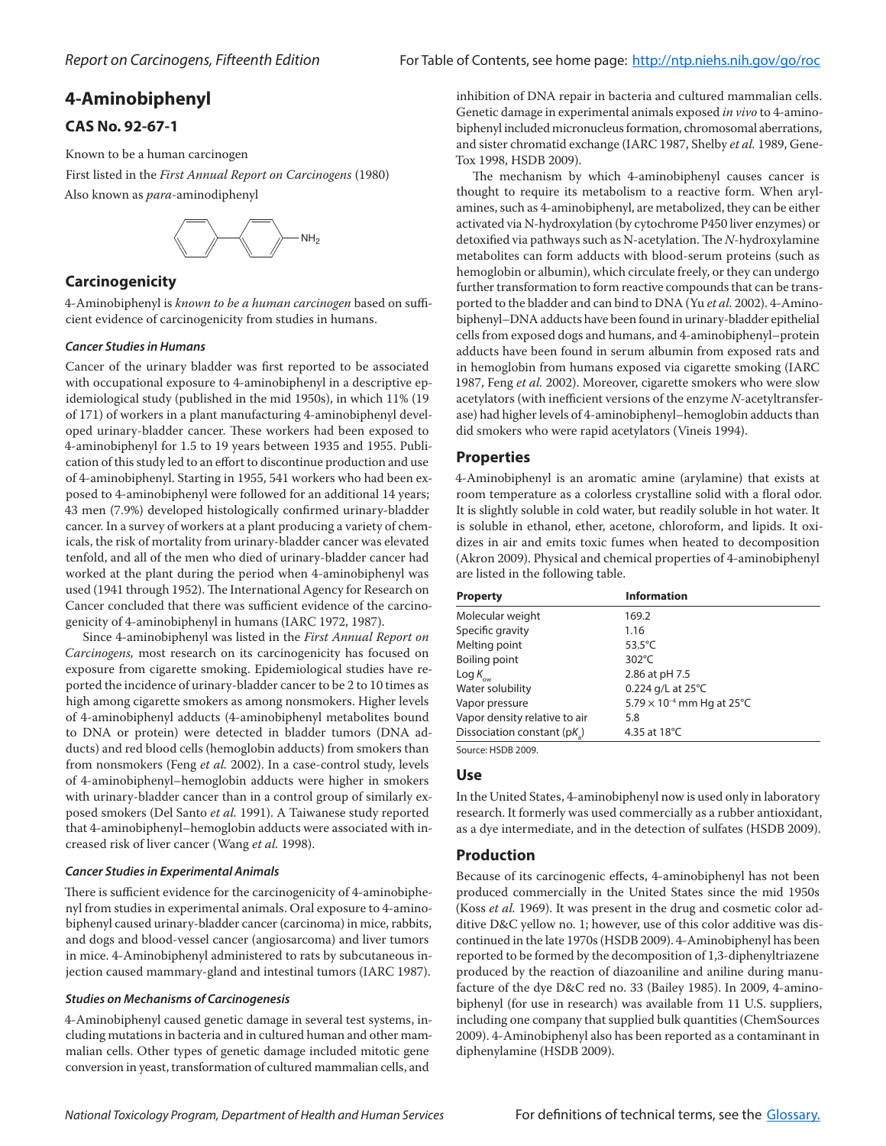# **4‑Aminobiphenyl**

## **CAS No. 92-67-1**

Known to be a human carcinogen

First listed in the *First Annual Report on Carcinogens* (1980) Also known as *para*-aminodiphenyl



## **Carcinogenicity**

4-Aminobiphenyl is *known to be a human carcinogen* based on sufficient evidence of carcinogenicity from studies in humans.

### *Cancer Studies in Humans*

Cancer of the urinary bladder was first reported to be associated with occupational exposure to 4-aminobiphenyl in a descriptive epidemiological study (published in the mid 1950s), in which 11% (19 of 171) of workers in a plant manufacturing 4-aminobiphenyl developed urinary-bladder cancer. These workers had been exposed to 4-aminobiphenyl for 1.5 to 19 years between 1935 and 1955. Publication of this study led to an effort to discontinue production and use of 4-aminobiphenyl. Starting in 1955, 541 workers who had been exposed to 4-aminobiphenyl were followed for an additional 14 years; 43 men (7.9%) developed histologically confirmed urinary-bladder cancer. In a survey of workers at a plant producing a variety of chemicals, the risk of mortality from urinary-bladder cancer was elevated tenfold, and all of the men who died of urinary-bladder cancer had worked at the plant during the period when 4-aminobiphenyl was used (1941 through 1952). The International Agency for Research on Cancer concluded that there was sufficient evidence of the carcinogenicity of 4-aminobiphenyl in humans (IARC 1972, 1987).

Since 4-aminobiphenyl was listed in the *First Annual Report on Carcinogens,* most research on its carcinogenicity has focused on exposure from cigarette smoking. Epidemiological studies have reported the incidence of urinary-bladder cancer to be 2 to 10 times as high among cigarette smokers as among nonsmokers. Higher levels of 4-aminobiphenyl adducts (4-aminobiphenyl metabolites bound to DNA or protein) were detected in bladder tumors (DNA adducts) and red blood cells (hemoglobin adducts) from smokers than from nonsmokers (Feng *et al.* 2002). In a case-control study, levels of 4-aminobiphenyl–hemoglobin adducts were higher in smokers with urinary-bladder cancer than in a control group of similarly exposed smokers (Del Santo *et al.* 1991). A Taiwanese study reported that 4-aminobiphenyl–hemoglobin adducts were associated with increased risk of liver cancer (Wang *et al.* 1998).

### *Cancer Studies in Experimental Animals*

There is sufficient evidence for the carcinogenicity of 4-aminobiphenyl from studies in experimental animals. Oral exposure to 4-aminobiphenyl caused urinary-bladder cancer (carcinoma) in mice, rabbits, and dogs and blood-vessel cancer (angiosarcoma) and liver tumors in mice. 4-Aminobiphenyl administered to rats by subcutaneous injection caused mammary-gland and intestinal tumors (IARC 1987).

### *Studies on Mechanisms of Carcinogenesis*

4-Aminobiphenyl caused genetic damage in several test systems, including mutations in bacteria and in cultured human and other mammalian cells. Other types of genetic damage included mitotic gene conversion in yeast, transformation of cultured mammalian cells, and

inhibition of DNA repair in bacteria and cultured mammalian cells. Genetic damage in experimental animals exposed *in vivo* to 4-aminobiphenyl included micronucleus formation, chromosomal aberrations, and sister chromatid exchange (IARC 1987, Shelby *et al.* 1989, Gene-Tox 1998, HSDB 2009).

The mechanism by which 4-aminobiphenyl causes cancer is thought to require its metabolism to a reactive form. When arylamines, such as 4-aminobiphenyl, are metabolized, they can be either activated via N-hydroxylation (by cytochrome P450 liver enzymes) or detoxified via pathways such as N-acetylation. The *N*-hydroxylamine metabolites can form adducts with blood-serum proteins (such as hemoglobin or albumin), which circulate freely, or they can undergo further transformation to form reactive compounds that can be transported to the bladder and can bind to DNA (Yu *et al.* 2002). 4-Aminobiphenyl–DNA adducts have been found in urinary-bladder epithelial cells from exposed dogs and humans, and 4-aminobiphenyl–protein adducts have been found in serum albumin from exposed rats and in hemoglobin from humans exposed via cigarette smoking (IARC 1987, Feng *et al.* 2002). Moreover, cigarette smokers who were slow acetylators (with inefficient versions of the enzyme *N*-acetyltransferase) had higher levels of 4-aminobiphenyl–hemoglobin adducts than did smokers who were rapid acetylators (Vineis 1994).

### **Properties**

4-Aminobiphenyl is an aromatic amine (arylamine) that exists at room temperature as a colorless crystalline solid with a floral odor. It is slightly soluble in cold water, but readily soluble in hot water. It is soluble in ethanol, ether, acetone, chloroform, and lipids. It oxidizes in air and emits toxic fumes when heated to decomposition (Akron 2009). Physical and chemical properties of 4-aminobiphenyl are listed in the following table.

| <b>Property</b>                | <b>Information</b>                  |
|--------------------------------|-------------------------------------|
| Molecular weight               | 169.2                               |
| Specific gravity               | 1.16                                |
| Melting point                  | 53.5 $°C$                           |
| Boiling point                  | $302^{\circ}$ C                     |
| $\text{Log } K_{_{\text{ow}}}$ | 2.86 at pH 7.5                      |
| Water solubility               | 0.224 g/L at $25^{\circ}$ C         |
| Vapor pressure                 | $5.79 \times 10^{-4}$ mm Hg at 25°C |
| Vapor density relative to air  | 5.8                                 |
| Dissociation constant (pK)     | 4.35 at 18°C                        |
|                                |                                     |

Source: HSDB 2009.

## **Use**

In the United States, 4-aminobiphenyl now is used only in laboratory research. It formerly was used commercially as a rubber antioxidant, as a dye intermediate, and in the detection of sulfates (HSDB 2009).

## **Production**

Because of its carcinogenic effects, 4-aminobiphenyl has not been produced commercially in the United States since the mid 1950s (Koss *et al.* 1969). It was present in the drug and cosmetic color additive D&C yellow no. 1; however, use of this color additive was discontinued in the late 1970s (HSDB 2009). 4-Aminobiphenyl has been reported to be formed by the decomposition of 1,3-diphenyltriazene produced by the reaction of diazoaniline and aniline during manufacture of the dye D&C red no. 33 (Bailey 1985). In 2009, 4-aminobiphenyl (for use in research) was available from 11 U.S. suppliers, including one company that supplied bulk quantities (ChemSources 2009). 4-Aminobiphenyl also has been reported as a contaminant in diphenylamine (HSDB 2009).